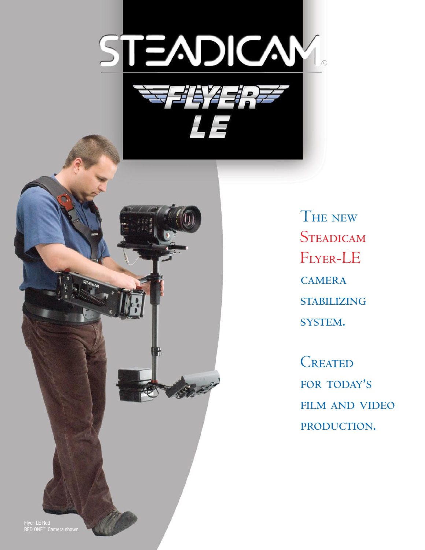



THE NEW **STEADICAM** FLYER-LE **CAMERA STABILIZING** SYSTEM.

**CREATED** FOR TODAY'S **FILM AND VIDEO** PRODUCTION.

Flyer-LE Red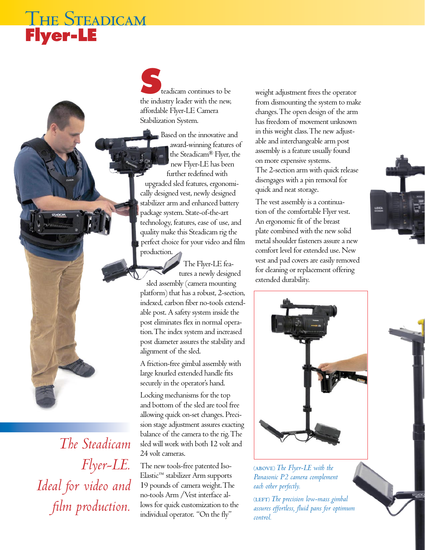## The Steadicam **Flyer-LE**

**S**teadicam continues to be the industry leader with the new, affordable Flyer-LE Camera Stabilization System.

Based on the innovative and award-winning features of the Steadicam® Flyer, the new Flyer-LE has been further redefined with upgraded sled features, ergonomically designed vest, newly designed stabilizer arm and enhanced battery package system. State-of-the-art technology, features, ease of use, and quality make this Steadicam rig the perfect choice for your video and film production.

The Flyer-LE features a newly designed sled assembly (camera mounting platform) that has a robust, 2-section, indexed, carbon fiber no-tools extendable post. A safety system inside the post eliminates flex in normal operation. The index system and increased post diameter assures the stability and alignment of the sled.

A friction-free gimbal assembly with large knurled extended handle fits securely in the operator's hand.

Locking mechanisms for the top and bottom of the sled are tool free allowing quick on-set changes. Precision stage adjustment assures exacting balance of the camera to the rig. The sled will work with both 12 volt and 24 volt cameras.

The new tools-free patented Iso-Elastic™ stabilizer Arm supports 19 pounds of camera weight. The no-tools Arm /Vest interface allows for quick customization to the individual operator. "On the fly"

weight adjustment frees the operator from dismounting the system to make changes. The open design of the arm has freedom of movement unknown in this weight class. The new adjustable and interchangeable arm post assembly is a feature usually found on more expensive systems. The 2-section arm with quick release disengages with a pin removal for quick and neat storage.

The vest assembly is a continuation of the comfortable Flyer vest. An ergonomic fit of the breast plate combined with the new solid metal shoulder fasteners assure a new comfort level for extended use. New vest and pad covers are easily removed for cleaning or replacement offering extended durability.



⁽above⁾ *The Flyer-LE with the Panasonic P2 camera complement each other perfectly.*

(LEFT) The precision low-mass gimbal *assures effortless, fluid pans for optimum control.*



*The Steadicam Flyer-LE. Ideal for video and film production.*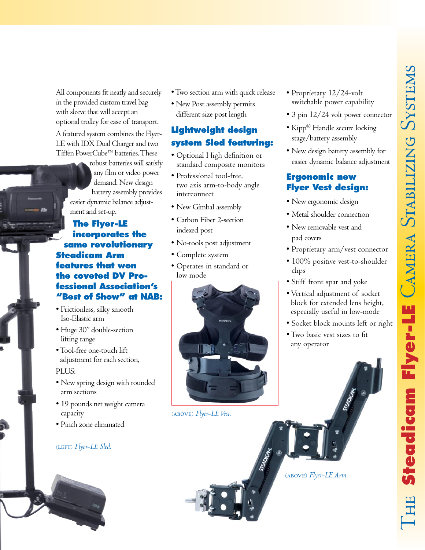All components fit neatly and securely in the provided custom travel bag with sleeve that will accept an optional trolley for ease of transport.

A featured system combines the Flyer-LE with IDX Dual Charger and two Tiffen PowerCube™ batteries. These

> robust batteries will satisfy any film or video power demand. New design battery assembly provides easier dynamic balance adjustment and set-up.

**The Flyer-LE incorporates the same revolutionary Steadicam Arm features that won the coveted DV Professional Association's "Best of Show" at NAB:**

- Frictionless, silky smooth Iso-Elastic arm
- Huge 30" double-section lifting range
- Tool-free one-touch lift adjustment for each section, PLUS:
- New spring design with rounded arm sections
- 19 pounds net weight camera capacity
- Pinch zone eliminated

#### (LEFT) Flyer-LE Sled.

- Two section arm with quick release
- New Post assembly permits different size post length

### **Lightweight design system Sled featuring:**

- Optional High definition or standard composite monitors
- Professional tool-free, two axis arm-to-body angle interconnect
- New Gimbal assembly
- Carbon Fiber 2-section indexed post
- No-tools post adjustment
- Complete system
- Operates in standard or low mode



⁽above⁾ *Flyer-LE Vest.*

- Proprietary 12/24-volt switchable power capability
- 3 pin  $12/24$  volt power connector
- Kipp® Handle secure locking stage/battery assembly
- New design battery assembly for easier dynamic balance adjustment

### **Ergonomic new Flyer Vest design:**

- New ergonomic design
- Metal shoulder connection
- New removable vest and pad covers
- Proprietary arm/vest connector
- 100% positive vest-to-shoulder clips
- Stiff front spar and yoke
- Vertical adjustment of socket block for extended lens height, especially useful in low-mode
- Socket block mounts left or right
- Two basic vest sizes to fit any operator

#### (ABOVE) Flyer-LE Arm.